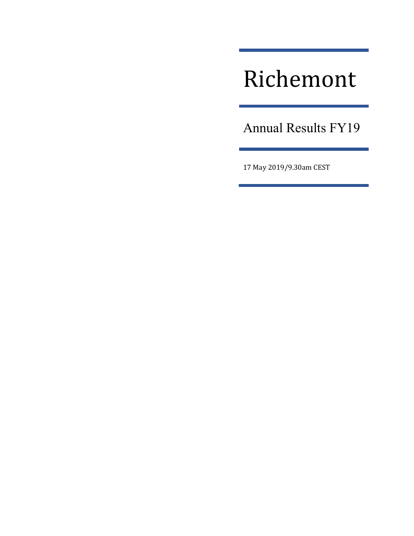# Richemont

Annual Results FY19

17 May 2019/9.30am CEST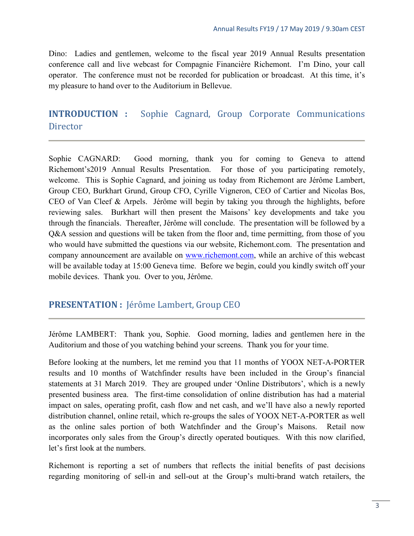Dino: Ladies and gentlemen, welcome to the fiscal year 2019 Annual Results presentation conference call and live webcast for Compagnie Financière Richemont. I'm Dino, your call operator. The conference must not be recorded for publication or broadcast. At this time, it's my pleasure to hand over to the Auditorium in Bellevue.

## <span id="page-2-0"></span>**INTRODUCTION :** Sophie Cagnard, Group Corporate Communications **Director**

Sophie CAGNARD: Good morning, thank you for coming to Geneva to attend Richemont's2019 Annual Results Presentation. For those of you participating remotely, welcome. This is Sophie Cagnard, and joining us today from Richemont are Jérôme Lambert, Group CEO, Burkhart Grund, Group CFO, Cyrille Vigneron, CEO of Cartier and Nicolas Bos, CEO of Van Cleef & Arpels. Jérôme will begin by taking you through the highlights, before reviewing sales. Burkhart will then present the Maisons' key developments and take you through the financials. Thereafter, Jérôme will conclude. The presentation will be followed by a Q&A session and questions will be taken from the floor and, time permitting, from those of you who would have submitted the questions via our website, Richemont.com. The presentation and company announcement are available on [www.richemont.com,](http://www.richemont.com/) while an archive of this webcast will be available today at 15:00 Geneva time. Before we begin, could you kindly switch off your mobile devices. Thank you. Over to you, Jérôme.

## <span id="page-2-1"></span>**PRESENTATION :** Jérôme Lambert, Group CEO

Jérôme LAMBERT: Thank you, Sophie. Good morning, ladies and gentlemen here in the Auditorium and those of you watching behind your screens. Thank you for your time.

Before looking at the numbers, let me remind you that 11 months of YOOX NET-A-PORTER results and 10 months of Watchfinder results have been included in the Group's financial statements at 31 March 2019. They are grouped under 'Online Distributors', which is a newly presented business area. The first-time consolidation of online distribution has had a material impact on sales, operating profit, cash flow and net cash, and we'll have also a newly reported distribution channel, online retail, which re-groups the sales of YOOX NET-A-PORTER as well as the online sales portion of both Watchfinder and the Group's Maisons. Retail now incorporates only sales from the Group's directly operated boutiques. With this now clarified, let's first look at the numbers.

Richemont is reporting a set of numbers that reflects the initial benefits of past decisions regarding monitoring of sell-in and sell-out at the Group's multi-brand watch retailers, the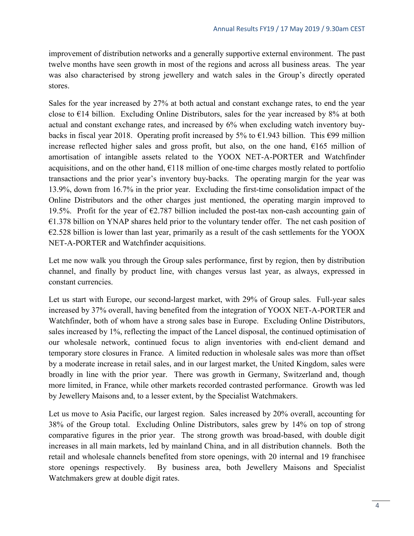improvement of distribution networks and a generally supportive external environment. The past twelve months have seen growth in most of the regions and across all business areas. The year was also characterised by strong jewellery and watch sales in the Group's directly operated stores.

Sales for the year increased by 27% at both actual and constant exchange rates, to end the year close to  $E14$  billion. Excluding Online Distributors, sales for the year increased by 8% at both actual and constant exchange rates, and increased by 6% when excluding watch inventory buybacks in fiscal year 2018. Operating profit increased by 5% to  $\epsilon$ 1.943 billion. This  $\epsilon$ 99 million increase reflected higher sales and gross profit, but also, on the one hand,  $E165$  million of amortisation of intangible assets related to the YOOX NET-A-PORTER and Watchfinder acquisitions, and on the other hand,  $E118$  million of one-time charges mostly related to portfolio transactions and the prior year's inventory buy-backs. The operating margin for the year was 13.9%, down from 16.7% in the prior year. Excluding the first-time consolidation impact of the Online Distributors and the other charges just mentioned, the operating margin improved to 19.5%. Profit for the year of  $\epsilon$ 2.787 billion included the post-tax non-cash accounting gain of  $E1.378$  billion on YNAP shares held prior to the voluntary tender offer. The net cash position of  $E2.528$  billion is lower than last year, primarily as a result of the cash settlements for the YOOX NET-A-PORTER and Watchfinder acquisitions.

Let me now walk you through the Group sales performance, first by region, then by distribution channel, and finally by product line, with changes versus last year, as always, expressed in constant currencies.

Let us start with Europe, our second-largest market, with 29% of Group sales. Full-year sales increased by 37% overall, having benefited from the integration of YOOX NET-A-PORTER and Watchfinder, both of whom have a strong sales base in Europe. Excluding Online Distributors, sales increased by 1%, reflecting the impact of the Lancel disposal, the continued optimisation of our wholesale network, continued focus to align inventories with end-client demand and temporary store closures in France. A limited reduction in wholesale sales was more than offset by a moderate increase in retail sales, and in our largest market, the United Kingdom, sales were broadly in line with the prior year. There was growth in Germany, Switzerland and, though more limited, in France, while other markets recorded contrasted performance. Growth was led by Jewellery Maisons and, to a lesser extent, by the Specialist Watchmakers.

Let us move to Asia Pacific, our largest region. Sales increased by 20% overall, accounting for 38% of the Group total. Excluding Online Distributors, sales grew by 14% on top of strong comparative figures in the prior year. The strong growth was broad-based, with double digit increases in all main markets, led by mainland China, and in all distribution channels. Both the retail and wholesale channels benefited from store openings, with 20 internal and 19 franchisee store openings respectively. By business area, both Jewellery Maisons and Specialist Watchmakers grew at double digit rates.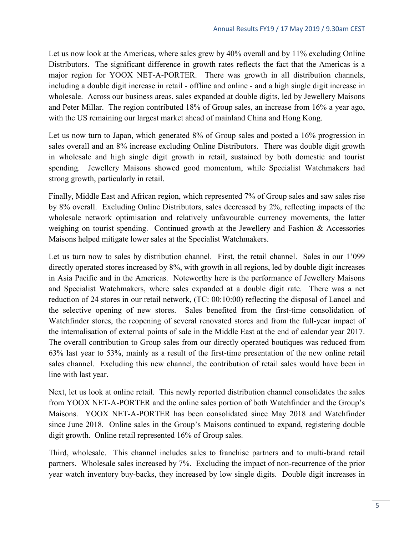Let us now look at the Americas, where sales grew by 40% overall and by 11% excluding Online Distributors. The significant difference in growth rates reflects the fact that the Americas is a major region for YOOX NET-A-PORTER. There was growth in all distribution channels, including a double digit increase in retail - offline and online - and a high single digit increase in wholesale. Across our business areas, sales expanded at double digits, led by Jewellery Maisons and Peter Millar. The region contributed 18% of Group sales, an increase from 16% a year ago, with the US remaining our largest market ahead of mainland China and Hong Kong.

Let us now turn to Japan, which generated 8% of Group sales and posted a 16% progression in sales overall and an 8% increase excluding Online Distributors. There was double digit growth in wholesale and high single digit growth in retail, sustained by both domestic and tourist spending. Jewellery Maisons showed good momentum, while Specialist Watchmakers had strong growth, particularly in retail.

Finally, Middle East and African region, which represented 7% of Group sales and saw sales rise by 8% overall. Excluding Online Distributors, sales decreased by 2%, reflecting impacts of the wholesale network optimisation and relatively unfavourable currency movements, the latter weighing on tourist spending. Continued growth at the Jewellery and Fashion & Accessories Maisons helped mitigate lower sales at the Specialist Watchmakers.

Let us turn now to sales by distribution channel. First, the retail channel. Sales in our 1'099 directly operated stores increased by 8%, with growth in all regions, led by double digit increases in Asia Pacific and in the Americas. Noteworthy here is the performance of Jewellery Maisons and Specialist Watchmakers, where sales expanded at a double digit rate. There was a net reduction of 24 stores in our retail network, (TC: 00:10:00) reflecting the disposal of Lancel and the selective opening of new stores. Sales benefited from the first-time consolidation of Watchfinder stores, the reopening of several renovated stores and from the full-year impact of the internalisation of external points of sale in the Middle East at the end of calendar year 2017. The overall contribution to Group sales from our directly operated boutiques was reduced from 63% last year to 53%, mainly as a result of the first-time presentation of the new online retail sales channel. Excluding this new channel, the contribution of retail sales would have been in line with last year.

Next, let us look at online retail. This newly reported distribution channel consolidates the sales from YOOX NET-A-PORTER and the online sales portion of both Watchfinder and the Group's Maisons. YOOX NET-A-PORTER has been consolidated since May 2018 and Watchfinder since June 2018. Online sales in the Group's Maisons continued to expand, registering double digit growth. Online retail represented 16% of Group sales.

Third, wholesale. This channel includes sales to franchise partners and to multi-brand retail partners. Wholesale sales increased by 7%. Excluding the impact of non-recurrence of the prior year watch inventory buy-backs, they increased by low single digits. Double digit increases in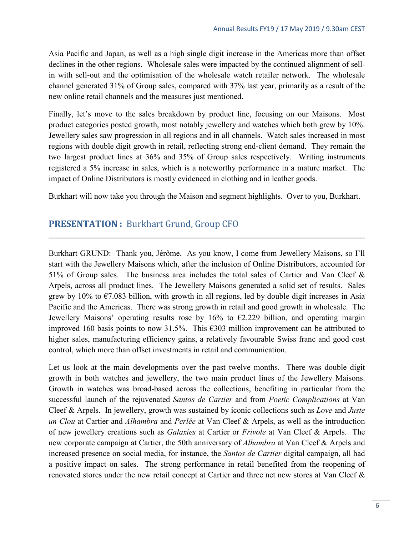Asia Pacific and Japan, as well as a high single digit increase in the Americas more than offset declines in the other regions. Wholesale sales were impacted by the continued alignment of sellin with sell-out and the optimisation of the wholesale watch retailer network. The wholesale channel generated 31% of Group sales, compared with 37% last year, primarily as a result of the new online retail channels and the measures just mentioned.

Finally, let's move to the sales breakdown by product line, focusing on our Maisons. Most product categories posted growth, most notably jewellery and watches which both grew by 10%. Jewellery sales saw progression in all regions and in all channels. Watch sales increased in most regions with double digit growth in retail, reflecting strong end-client demand. They remain the two largest product lines at 36% and 35% of Group sales respectively. Writing instruments registered a 5% increase in sales, which is a noteworthy performance in a mature market. The impact of Online Distributors is mostly evidenced in clothing and in leather goods.

Burkhart will now take you through the Maison and segment highlights. Over to you, Burkhart.

## <span id="page-5-0"></span>**PRESENTATION :** Burkhart Grund, Group CFO

Burkhart GRUND: Thank you, Jérôme. As you know, I come from Jewellery Maisons, so I'll start with the Jewellery Maisons which, after the inclusion of Online Distributors, accounted for 51% of Group sales. The business area includes the total sales of Cartier and Van Cleef & Arpels, across all product lines. The Jewellery Maisons generated a solid set of results. Sales grew by 10% to  $\epsilon$ 7.083 billion, with growth in all regions, led by double digit increases in Asia Pacific and the Americas. There was strong growth in retail and good growth in wholesale. The Jewellery Maisons' operating results rose by 16% to  $\epsilon$ 2.229 billion, and operating margin improved 160 basis points to now 31.5%. This €303 million improvement can be attributed to higher sales, manufacturing efficiency gains, a relatively favourable Swiss franc and good cost control, which more than offset investments in retail and communication.

Let us look at the main developments over the past twelve months. There was double digit growth in both watches and jewellery, the two main product lines of the Jewellery Maisons. Growth in watches was broad-based across the collections, benefiting in particular from the successful launch of the rejuvenated *Santos de Cartier* and from *Poetic Complications* at Van Cleef & Arpels. In jewellery, growth was sustained by iconic collections such as *Love* and *Juste un Clou* at Cartier and *Alhambra* and *Perlée* at Van Cleef & Arpels, as well as the introduction of new jewellery creations such as *Galaxies* at Cartier or *Frivole* at Van Cleef & Arpels. The new corporate campaign at Cartier, the 50th anniversary of *Alhambra* at Van Cleef & Arpels and increased presence on social media, for instance, the *Santos de Cartier* digital campaign, all had a positive impact on sales. The strong performance in retail benefited from the reopening of renovated stores under the new retail concept at Cartier and three net new stores at Van Cleef &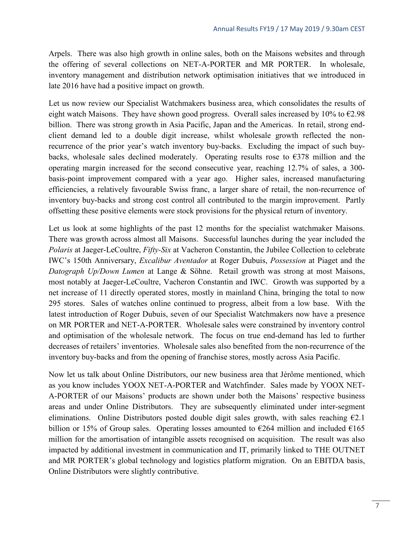Arpels. There was also high growth in online sales, both on the Maisons websites and through the offering of several collections on NET-A-PORTER and MR PORTER. In wholesale, inventory management and distribution network optimisation initiatives that we introduced in late 2016 have had a positive impact on growth.

Let us now review our Specialist Watchmakers business area, which consolidates the results of eight watch Maisons. They have shown good progress. Overall sales increased by 10% to  $\epsilon$ 2.98 billion. There was strong growth in Asia Pacific, Japan and the Americas. In retail, strong endclient demand led to a double digit increase, whilst wholesale growth reflected the nonrecurrence of the prior year's watch inventory buy-backs. Excluding the impact of such buybacks, wholesale sales declined moderately. Operating results rose to  $\epsilon$ 378 million and the operating margin increased for the second consecutive year, reaching 12.7% of sales, a 300 basis-point improvement compared with a year ago. Higher sales, increased manufacturing efficiencies, a relatively favourable Swiss franc, a larger share of retail, the non-recurrence of inventory buy-backs and strong cost control all contributed to the margin improvement. Partly offsetting these positive elements were stock provisions for the physical return of inventory.

Let us look at some highlights of the past 12 months for the specialist watchmaker Maisons. There was growth across almost all Maisons. Successful launches during the year included the *Polaris* at Jaeger-LeCoultre, *Fifty-Six* at Vacheron Constantin, the Jubilee Collection to celebrate IWC's 150th Anniversary, *Excalibur Aventador* at Roger Dubuis, *Possession* at Piaget and the *Datograph Up/Down Lumen* at Lange & Söhne. Retail growth was strong at most Maisons, most notably at Jaeger-LeCoultre, Vacheron Constantin and IWC. Growth was supported by a net increase of 11 directly operated stores, mostly in mainland China, bringing the total to now 295 stores. Sales of watches online continued to progress, albeit from a low base. With the latest introduction of Roger Dubuis, seven of our Specialist Watchmakers now have a presence on MR PORTER and NET-A-PORTER. Wholesale sales were constrained by inventory control and optimisation of the wholesale network. The focus on true end-demand has led to further decreases of retailers' inventories. Wholesale sales also benefited from the non-recurrence of the inventory buy-backs and from the opening of franchise stores, mostly across Asia Pacific.

Now let us talk about Online Distributors, our new business area that Jérôme mentioned, which as you know includes YOOX NET-A-PORTER and Watchfinder. Sales made by YOOX NET-A-PORTER of our Maisons' products are shown under both the Maisons' respective business areas and under Online Distributors. They are subsequently eliminated under inter-segment eliminations. Online Distributors posted double digit sales growth, with sales reaching  $\epsilon$ 2.1 billion or 15% of Group sales. Operating losses amounted to  $\epsilon$ 264 million and included  $\epsilon$ 165 million for the amortisation of intangible assets recognised on acquisition. The result was also impacted by additional investment in communication and IT, primarily linked to THE OUTNET and MR PORTER's global technology and logistics platform migration. On an EBITDA basis, Online Distributors were slightly contributive.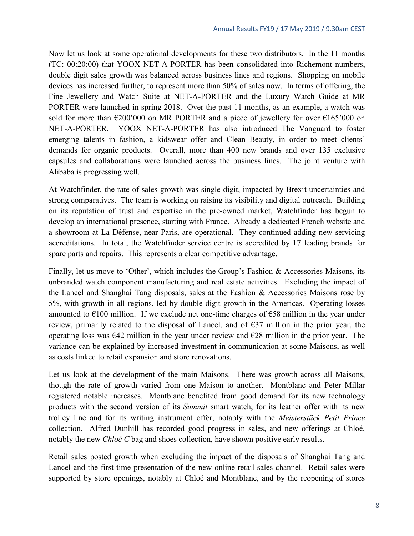Now let us look at some operational developments for these two distributors. In the 11 months (TC: 00:20:00) that YOOX NET-A-PORTER has been consolidated into Richemont numbers, double digit sales growth was balanced across business lines and regions. Shopping on mobile devices has increased further, to represent more than 50% of sales now. In terms of offering, the Fine Jewellery and Watch Suite at NET-A-PORTER and the Luxury Watch Guide at MR PORTER were launched in spring 2018. Over the past 11 months, as an example, a watch was sold for more than  $\epsilon$ 200'000 on MR PORTER and a piece of jewellery for over  $\epsilon$ 165'000 on NET-A-PORTER. YOOX NET-A-PORTER has also introduced The Vanguard to foster emerging talents in fashion, a kidswear offer and Clean Beauty, in order to meet clients' demands for organic products. Overall, more than 400 new brands and over 135 exclusive capsules and collaborations were launched across the business lines. The joint venture with Alibaba is progressing well.

At Watchfinder, the rate of sales growth was single digit, impacted by Brexit uncertainties and strong comparatives. The team is working on raising its visibility and digital outreach. Building on its reputation of trust and expertise in the pre-owned market, Watchfinder has begun to develop an international presence, starting with France. Already a dedicated French website and a showroom at La Défense, near Paris, are operational. They continued adding new servicing accreditations. In total, the Watchfinder service centre is accredited by 17 leading brands for spare parts and repairs. This represents a clear competitive advantage.

Finally, let us move to 'Other', which includes the Group's Fashion & Accessories Maisons, its unbranded watch component manufacturing and real estate activities. Excluding the impact of the Lancel and Shanghai Tang disposals, sales at the Fashion & Accessories Maisons rose by 5%, with growth in all regions, led by double digit growth in the Americas. Operating losses amounted to  $\epsilon$ 100 million. If we exclude net one-time charges of  $\epsilon$ 58 million in the year under review, primarily related to the disposal of Lancel, and of  $\epsilon$ 37 million in the prior year, the operating loss was  $\epsilon$ 42 million in the year under review and  $\epsilon$ 28 million in the prior year. The variance can be explained by increased investment in communication at some Maisons, as well as costs linked to retail expansion and store renovations.

Let us look at the development of the main Maisons. There was growth across all Maisons, though the rate of growth varied from one Maison to another. Montblanc and Peter Millar registered notable increases. Montblanc benefited from good demand for its new technology products with the second version of its *Summit* smart watch, for its leather offer with its new trolley line and for its writing instrument offer, notably with the *Meisterstück Petit Prince* collection. Alfred Dunhill has recorded good progress in sales, and new offerings at Chloé, notably the new *Chloé C* bag and shoes collection, have shown positive early results.

Retail sales posted growth when excluding the impact of the disposals of Shanghai Tang and Lancel and the first-time presentation of the new online retail sales channel. Retail sales were supported by store openings, notably at Chloé and Montblanc, and by the reopening of stores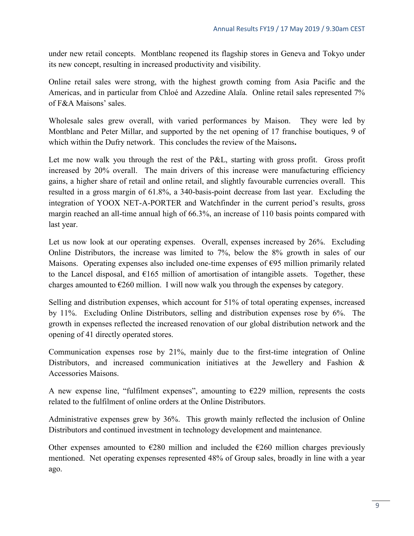under new retail concepts. Montblanc reopened its flagship stores in Geneva and Tokyo under its new concept, resulting in increased productivity and visibility.

Online retail sales were strong, with the highest growth coming from Asia Pacific and the Americas, and in particular from Chloé and Azzedine Alaïa. Online retail sales represented 7% of F&A Maisons' sales.

Wholesale sales grew overall, with varied performances by Maison. They were led by Montblanc and Peter Millar, and supported by the net opening of 17 franchise boutiques, 9 of which within the Dufry network. This concludes the review of the Maisons**.**

Let me now walk you through the rest of the P&L, starting with gross profit. Gross profit increased by 20% overall. The main drivers of this increase were manufacturing efficiency gains, a higher share of retail and online retail, and slightly favourable currencies overall. This resulted in a gross margin of 61.8%, a 340-basis-point decrease from last year. Excluding the integration of YOOX NET-A-PORTER and Watchfinder in the current period's results, gross margin reached an all-time annual high of 66.3%, an increase of 110 basis points compared with last year.

Let us now look at our operating expenses. Overall, expenses increased by 26%. Excluding Online Distributors, the increase was limited to 7%, below the 8% growth in sales of our Maisons. Operating expenses also included one-time expenses of €95 million primarily related to the Lancel disposal, and  $\epsilon 165$  million of amortisation of intangible assets. Together, these charges amounted to  $\epsilon$ 260 million. I will now walk you through the expenses by category.

Selling and distribution expenses, which account for 51% of total operating expenses, increased by 11%. Excluding Online Distributors, selling and distribution expenses rose by 6%. The growth in expenses reflected the increased renovation of our global distribution network and the opening of 41 directly operated stores.

Communication expenses rose by 21%, mainly due to the first-time integration of Online Distributors, and increased communication initiatives at the Jewellery and Fashion & Accessories Maisons.

A new expense line, "fulfilment expenses", amounting to  $E229$  million, represents the costs related to the fulfilment of online orders at the Online Distributors.

Administrative expenses grew by 36%. This growth mainly reflected the inclusion of Online Distributors and continued investment in technology development and maintenance.

Other expenses amounted to  $\epsilon$ 280 million and included the  $\epsilon$ 260 million charges previously mentioned. Net operating expenses represented 48% of Group sales, broadly in line with a year ago.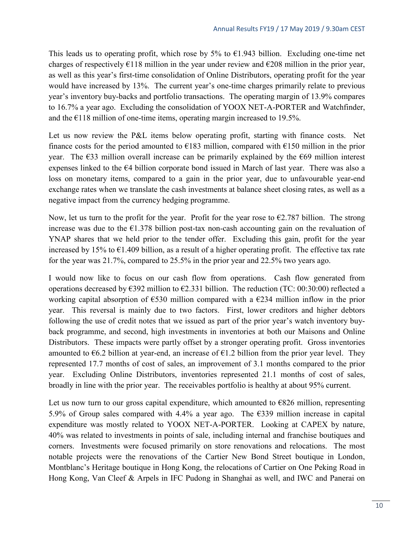This leads us to operating profit, which rose by 5% to  $\epsilon$ 1.943 billion. Excluding one-time net charges of respectively  $\epsilon$ 118 million in the year under review and  $\epsilon$ 208 million in the prior year, as well as this year's first-time consolidation of Online Distributors, operating profit for the year would have increased by 13%. The current year's one-time charges primarily relate to previous year's inventory buy-backs and portfolio transactions. The operating margin of 13.9% compares to 16.7% a year ago. Excluding the consolidation of YOOX NET-A-PORTER and Watchfinder, and the  $E118$  million of one-time items, operating margin increased to 19.5%.

Let us now review the P&L items below operating profit, starting with finance costs. Net finance costs for the period amounted to  $\epsilon$ 183 million, compared with  $\epsilon$ 150 million in the prior year. The  $\epsilon$ 33 million overall increase can be primarily explained by the  $\epsilon$ 69 million interest expenses linked to the €4 billion corporate bond issued in March of last year. There was also a loss on monetary items, compared to a gain in the prior year, due to unfavourable year-end exchange rates when we translate the cash investments at balance sheet closing rates, as well as a negative impact from the currency hedging programme.

Now, let us turn to the profit for the year. Profit for the year rose to  $\epsilon$ 2.787 billion. The strong increase was due to the  $E1.378$  billion post-tax non-cash accounting gain on the revaluation of YNAP shares that we held prior to the tender offer. Excluding this gain, profit for the year increased by 15% to  $\epsilon$ 1.409 billion, as a result of a higher operating profit. The effective tax rate for the year was 21.7%, compared to 25.5% in the prior year and 22.5% two years ago.

I would now like to focus on our cash flow from operations. Cash flow generated from operations decreased by  $\epsilon$ 392 million to  $\epsilon$ 2.331 billion. The reduction (TC: 00:30:00) reflected a working capital absorption of  $\epsilon$ 530 million compared with a  $\epsilon$ 234 million inflow in the prior year. This reversal is mainly due to two factors. First, lower creditors and higher debtors following the use of credit notes that we issued as part of the prior year's watch inventory buyback programme, and second, high investments in inventories at both our Maisons and Online Distributors. These impacts were partly offset by a stronger operating profit. Gross inventories amounted to  $6.2$  billion at year-end, an increase of  $61.2$  billion from the prior year level. They represented 17.7 months of cost of sales, an improvement of 3.1 months compared to the prior year. Excluding Online Distributors, inventories represented 21.1 months of cost of sales, broadly in line with the prior year. The receivables portfolio is healthy at about 95% current.

Let us now turn to our gross capital expenditure, which amounted to  $E826$  million, representing 5.9% of Group sales compared with 4.4% a year ago. The  $\epsilon$ 339 million increase in capital expenditure was mostly related to YOOX NET-A-PORTER. Looking at CAPEX by nature, 40% was related to investments in points of sale, including internal and franchise boutiques and corners. Investments were focused primarily on store renovations and relocations. The most notable projects were the renovations of the Cartier New Bond Street boutique in London, Montblanc's Heritage boutique in Hong Kong, the relocations of Cartier on One Peking Road in Hong Kong, Van Cleef & Arpels in IFC Pudong in Shanghai as well, and IWC and Panerai on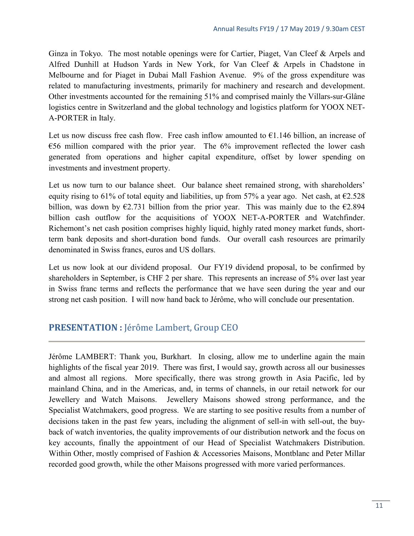Ginza in Tokyo. The most notable openings were for Cartier, Piaget, Van Cleef & Arpels and Alfred Dunhill at Hudson Yards in New York, for Van Cleef & Arpels in Chadstone in Melbourne and for Piaget in Dubai Mall Fashion Avenue. 9% of the gross expenditure was related to manufacturing investments, primarily for machinery and research and development. Other investments accounted for the remaining 51% and comprised mainly the Villars-sur-Glâne logistics centre in Switzerland and the global technology and logistics platform for YOOX NET-A-PORTER in Italy.

Let us now discuss free cash flow. Free cash inflow amounted to  $61.146$  billion, an increase of  $E$ 56 million compared with the prior year. The 6% improvement reflected the lower cash generated from operations and higher capital expenditure, offset by lower spending on investments and investment property.

Let us now turn to our balance sheet. Our balance sheet remained strong, with shareholders' equity rising to 61% of total equity and liabilities, up from 57% a year ago. Net cash, at  $\epsilon$ 2.528 billion, was down by  $\epsilon$ 2.731 billion from the prior year. This was mainly due to the  $\epsilon$ 2.894 billion cash outflow for the acquisitions of YOOX NET-A-PORTER and Watchfinder. Richemont's net cash position comprises highly liquid, highly rated money market funds, shortterm bank deposits and short-duration bond funds. Our overall cash resources are primarily denominated in Swiss francs, euros and US dollars.

Let us now look at our dividend proposal. Our FY19 dividend proposal, to be confirmed by shareholders in September, is CHF 2 per share. This represents an increase of 5% over last year in Swiss franc terms and reflects the performance that we have seen during the year and our strong net cash position. I will now hand back to Jérôme, who will conclude our presentation.

## <span id="page-10-0"></span>**PRESENTATION :** Jérôme Lambert, Group CEO

Jérôme LAMBERT: Thank you, Burkhart. In closing, allow me to underline again the main highlights of the fiscal year 2019. There was first, I would say, growth across all our businesses and almost all regions. More specifically, there was strong growth in Asia Pacific, led by mainland China, and in the Americas, and, in terms of channels, in our retail network for our Jewellery and Watch Maisons. Jewellery Maisons showed strong performance, and the Specialist Watchmakers, good progress. We are starting to see positive results from a number of decisions taken in the past few years, including the alignment of sell-in with sell-out, the buyback of watch inventories, the quality improvements of our distribution network and the focus on key accounts, finally the appointment of our Head of Specialist Watchmakers Distribution. Within Other, mostly comprised of Fashion & Accessories Maisons, Montblanc and Peter Millar recorded good growth, while the other Maisons progressed with more varied performances.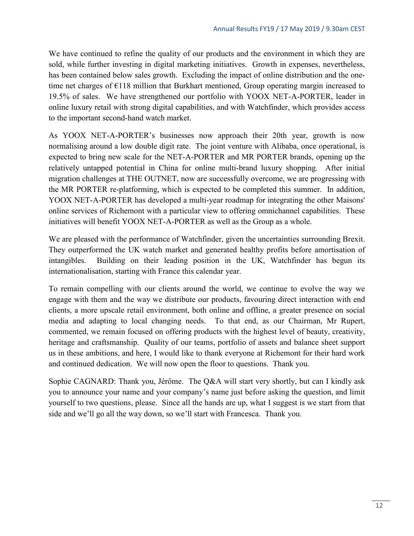We have continued to refine the quality of our products and the environment in which they are sold, while further investing in digital marketing initiatives. Growth in expenses, nevertheless, has been contained below sales growth. Excluding the impact of online distribution and the onetime net charges of €118 million that Burkhart mentioned, Group operating margin increased to 19.5% of sales. We have strengthened our portfolio with YOOX NET-A-PORTER, leader in online luxury retail with strong digital capabilities, and with Watchfinder, which provides access to the important second-hand watch market.

As YOOX NET-A-PORTER's businesses now approach their 20th year, growth is now normalising around a low double digit rate. The joint venture with Alibaba, once operational, is expected to bring new scale for the NET-A-PORTER and MR PORTER brands, opening up the relatively untapped potential in China for online multi-brand luxury shopping. After initial migration challenges at THE OUTNET, now are successfully overcome, we are progressing with the MR PORTER re-platforming, which is expected to be completed this summer. In addition, YOOX NET-A-PORTER has developed a multi-year roadmap for integrating the other Maisons' online services of Richemont with a particular view to offering omnichannel capabilities. These initiatives will benefit YOOX NET-A-PORTER as well as the Group as a whole.

We are pleased with the performance of Watchfinder, given the uncertainties surrounding Brexit. They outperformed the UK watch market and generated healthy profits before amortisation of intangibles. Building on their leading position in the UK, Watchfinder has begun its internationalisation, starting with France this calendar year.

To remain compelling with our clients around the world, we continue to evolve the way we engage with them and the way we distribute our products, favouring direct interaction with end clients, a more upscale retail environment, both online and offline, a greater presence on social media and adapting to local changing needs. To that end, as our Chairman, Mr Rupert, commented, we remain focused on offering products with the highest level of beauty, creativity, heritage and craftsmanship. Quality of our teams, portfolio of assets and balance sheet support us in these ambitions, and here, I would like to thank everyone at Richemont for their hard work and continued dedication. We will now open the floor to questions. Thank you.

<span id="page-11-0"></span>Sophie CAGNARD: Thank you, Jérôme. The Q&A will start very shortly, but can I kindly ask you to announce your name and your company's name just before asking the question, and limit yourself to two questions, please. Since all the hands are up, what I suggest is we start from that side and we'll go all the way down, so we'll start with Francesca. Thank you.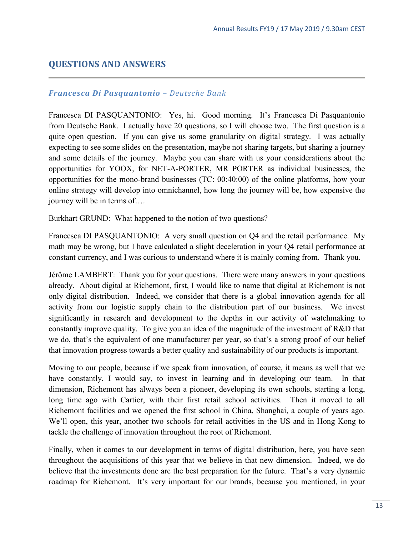## **QUESTIONS AND ANSWERS**

#### *Francesca Di Pasquantonio – Deutsche Bank*

Francesca DI PASQUANTONIO: Yes, hi. Good morning. It's Francesca Di Pasquantonio from Deutsche Bank. I actually have 20 questions, so I will choose two. The first question is a quite open question. If you can give us some granularity on digital strategy. I was actually expecting to see some slides on the presentation, maybe not sharing targets, but sharing a journey and some details of the journey. Maybe you can share with us your considerations about the opportunities for YOOX, for NET-A-PORTER, MR PORTER as individual businesses, the opportunities for the mono-brand businesses (TC: 00:40:00) of the online platforms, how your online strategy will develop into omnichannel, how long the journey will be, how expensive the journey will be in terms of….

Burkhart GRUND: What happened to the notion of two questions?

Francesca DI PASQUANTONIO: A very small question on Q4 and the retail performance. My math may be wrong, but I have calculated a slight deceleration in your Q4 retail performance at constant currency, and I was curious to understand where it is mainly coming from. Thank you.

Jérôme LAMBERT: Thank you for your questions. There were many answers in your questions already. About digital at Richemont, first, I would like to name that digital at Richemont is not only digital distribution. Indeed, we consider that there is a global innovation agenda for all activity from our logistic supply chain to the distribution part of our business. We invest significantly in research and development to the depths in our activity of watchmaking to constantly improve quality. To give you an idea of the magnitude of the investment of R&D that we do, that's the equivalent of one manufacturer per year, so that's a strong proof of our belief that innovation progress towards a better quality and sustainability of our products is important.

Moving to our people, because if we speak from innovation, of course, it means as well that we have constantly, I would say, to invest in learning and in developing our team. In that dimension, Richemont has always been a pioneer, developing its own schools, starting a long, long time ago with Cartier, with their first retail school activities. Then it moved to all Richemont facilities and we opened the first school in China, Shanghai, a couple of years ago. We'll open, this year, another two schools for retail activities in the US and in Hong Kong to tackle the challenge of innovation throughout the root of Richemont.

Finally, when it comes to our development in terms of digital distribution, here, you have seen throughout the acquisitions of this year that we believe in that new dimension. Indeed, we do believe that the investments done are the best preparation for the future. That's a very dynamic roadmap for Richemont. It's very important for our brands, because you mentioned, in your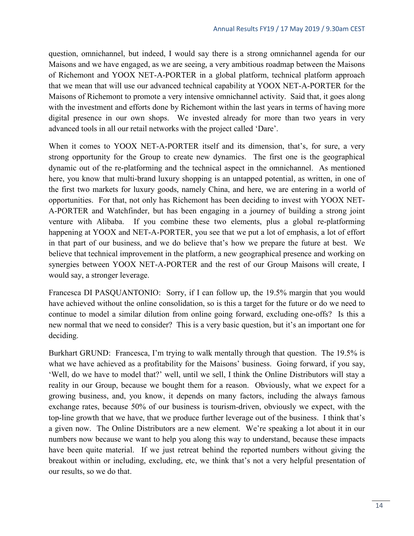question, omnichannel, but indeed, I would say there is a strong omnichannel agenda for our Maisons and we have engaged, as we are seeing, a very ambitious roadmap between the Maisons of Richemont and YOOX NET-A-PORTER in a global platform, technical platform approach that we mean that will use our advanced technical capability at YOOX NET-A-PORTER for the Maisons of Richemont to promote a very intensive omnichannel activity. Said that, it goes along with the investment and efforts done by Richemont within the last years in terms of having more digital presence in our own shops. We invested already for more than two years in very advanced tools in all our retail networks with the project called 'Dare'.

When it comes to YOOX NET-A-PORTER itself and its dimension, that's, for sure, a very strong opportunity for the Group to create new dynamics. The first one is the geographical dynamic out of the re-platforming and the technical aspect in the omnichannel. As mentioned here, you know that multi-brand luxury shopping is an untapped potential, as written, in one of the first two markets for luxury goods, namely China, and here, we are entering in a world of opportunities. For that, not only has Richemont has been deciding to invest with YOOX NET-A-PORTER and Watchfinder, but has been engaging in a journey of building a strong joint venture with Alibaba. If you combine these two elements, plus a global re-platforming happening at YOOX and NET-A-PORTER, you see that we put a lot of emphasis, a lot of effort in that part of our business, and we do believe that's how we prepare the future at best. We believe that technical improvement in the platform, a new geographical presence and working on synergies between YOOX NET-A-PORTER and the rest of our Group Maisons will create, I would say, a stronger leverage.

Francesca DI PASQUANTONIO: Sorry, if I can follow up, the 19.5% margin that you would have achieved without the online consolidation, so is this a target for the future or do we need to continue to model a similar dilution from online going forward, excluding one-offs? Is this a new normal that we need to consider? This is a very basic question, but it's an important one for deciding.

Burkhart GRUND: Francesca, I'm trying to walk mentally through that question. The 19.5% is what we have achieved as a profitability for the Maisons' business. Going forward, if you say, 'Well, do we have to model that?' well, until we sell, I think the Online Distributors will stay a reality in our Group, because we bought them for a reason. Obviously, what we expect for a growing business, and, you know, it depends on many factors, including the always famous exchange rates, because 50% of our business is tourism-driven, obviously we expect, with the top-line growth that we have, that we produce further leverage out of the business. I think that's a given now. The Online Distributors are a new element. We're speaking a lot about it in our numbers now because we want to help you along this way to understand, because these impacts have been quite material. If we just retreat behind the reported numbers without giving the breakout within or including, excluding, etc, we think that's not a very helpful presentation of our results, so we do that.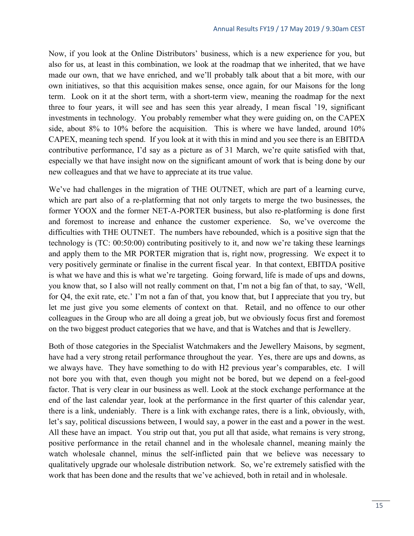Now, if you look at the Online Distributors' business, which is a new experience for you, but also for us, at least in this combination, we look at the roadmap that we inherited, that we have made our own, that we have enriched, and we'll probably talk about that a bit more, with our own initiatives, so that this acquisition makes sense, once again, for our Maisons for the long term. Look on it at the short term, with a short-term view, meaning the roadmap for the next three to four years, it will see and has seen this year already, I mean fiscal '19, significant investments in technology. You probably remember what they were guiding on, on the CAPEX side, about 8% to 10% before the acquisition. This is where we have landed, around 10% CAPEX, meaning tech spend. If you look at it with this in mind and you see there is an EBITDA contributive performance, I'd say as a picture as of 31 March, we're quite satisfied with that, especially we that have insight now on the significant amount of work that is being done by our new colleagues and that we have to appreciate at its true value.

We've had challenges in the migration of THE OUTNET, which are part of a learning curve, which are part also of a re-platforming that not only targets to merge the two businesses, the former YOOX and the former NET-A-PORTER business, but also re-platforming is done first and foremost to increase and enhance the customer experience. So, we've overcome the difficulties with THE OUTNET. The numbers have rebounded, which is a positive sign that the technology is (TC: 00:50:00) contributing positively to it, and now we're taking these learnings and apply them to the MR PORTER migration that is, right now, progressing. We expect it to very positively germinate or finalise in the current fiscal year. In that context, EBITDA positive is what we have and this is what we're targeting. Going forward, life is made of ups and downs, you know that, so I also will not really comment on that, I'm not a big fan of that, to say, 'Well, for Q4, the exit rate, etc.' I'm not a fan of that, you know that, but I appreciate that you try, but let me just give you some elements of context on that. Retail, and no offence to our other colleagues in the Group who are all doing a great job, but we obviously focus first and foremost on the two biggest product categories that we have, and that is Watches and that is Jewellery.

Both of those categories in the Specialist Watchmakers and the Jewellery Maisons, by segment, have had a very strong retail performance throughout the year. Yes, there are ups and downs, as we always have. They have something to do with H2 previous year's comparables, etc. I will not bore you with that, even though you might not be bored, but we depend on a feel-good factor. That is very clear in our business as well. Look at the stock exchange performance at the end of the last calendar year, look at the performance in the first quarter of this calendar year, there is a link, undeniably. There is a link with exchange rates, there is a link, obviously, with, let's say, political discussions between, I would say, a power in the east and a power in the west. All these have an impact. You strip out that, you put all that aside, what remains is very strong, positive performance in the retail channel and in the wholesale channel, meaning mainly the watch wholesale channel, minus the self-inflicted pain that we believe was necessary to qualitatively upgrade our wholesale distribution network. So, we're extremely satisfied with the work that has been done and the results that we've achieved, both in retail and in wholesale.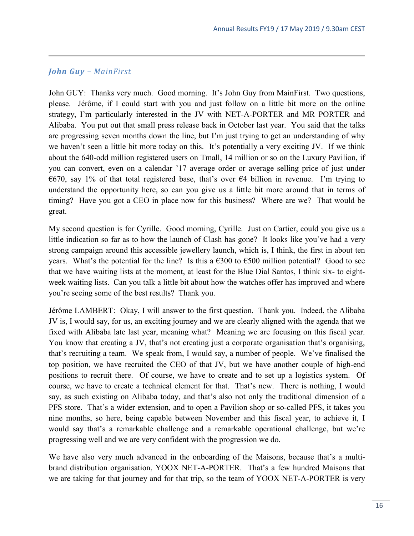#### *John Guy – MainFirst*

John GUY: Thanks very much. Good morning. It's John Guy from MainFirst. Two questions, please. Jérôme, if I could start with you and just follow on a little bit more on the online strategy, I'm particularly interested in the JV with NET-A-PORTER and MR PORTER and Alibaba. You put out that small press release back in October last year. You said that the talks are progressing seven months down the line, but I'm just trying to get an understanding of why we haven't seen a little bit more today on this. It's potentially a very exciting JV. If we think about the 640-odd million registered users on Tmall, 14 million or so on the Luxury Pavilion, if you can convert, even on a calendar '17 average order or average selling price of just under  $\epsilon$ 670, say 1% of that total registered base, that's over  $\epsilon$ 4 billion in revenue. I'm trying to understand the opportunity here, so can you give us a little bit more around that in terms of timing? Have you got a CEO in place now for this business? Where are we? That would be great.

My second question is for Cyrille. Good morning, Cyrille. Just on Cartier, could you give us a little indication so far as to how the launch of Clash has gone? It looks like you've had a very strong campaign around this accessible jewellery launch, which is, I think, the first in about ten years. What's the potential for the line? Is this a  $\epsilon$ 300 to  $\epsilon$ 500 million potential? Good to see that we have waiting lists at the moment, at least for the Blue Dial Santos, I think six- to eightweek waiting lists. Can you talk a little bit about how the watches offer has improved and where you're seeing some of the best results? Thank you.

Jérôme LAMBERT: Okay, I will answer to the first question. Thank you. Indeed, the Alibaba JV is, I would say, for us, an exciting journey and we are clearly aligned with the agenda that we fixed with Alibaba late last year, meaning what? Meaning we are focusing on this fiscal year. You know that creating a JV, that's not creating just a corporate organisation that's organising, that's recruiting a team. We speak from, I would say, a number of people. We've finalised the top position, we have recruited the CEO of that JV, but we have another couple of high-end positions to recruit there. Of course, we have to create and to set up a logistics system. Of course, we have to create a technical element for that. That's new. There is nothing, I would say, as such existing on Alibaba today, and that's also not only the traditional dimension of a PFS store. That's a wider extension, and to open a Pavilion shop or so-called PFS, it takes you nine months, so here, being capable between November and this fiscal year, to achieve it, I would say that's a remarkable challenge and a remarkable operational challenge, but we're progressing well and we are very confident with the progression we do.

We have also very much advanced in the onboarding of the Maisons, because that's a multibrand distribution organisation, YOOX NET-A-PORTER. That's a few hundred Maisons that we are taking for that journey and for that trip, so the team of YOOX NET-A-PORTER is very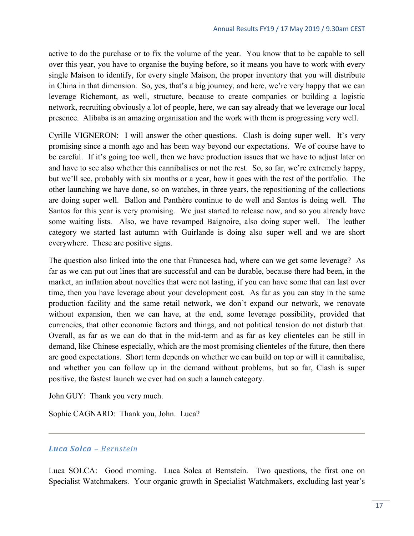active to do the purchase or to fix the volume of the year. You know that to be capable to sell over this year, you have to organise the buying before, so it means you have to work with every single Maison to identify, for every single Maison, the proper inventory that you will distribute in China in that dimension. So, yes, that's a big journey, and here, we're very happy that we can leverage Richemont, as well, structure, because to create companies or building a logistic network, recruiting obviously a lot of people, here, we can say already that we leverage our local presence. Alibaba is an amazing organisation and the work with them is progressing very well.

Cyrille VIGNERON: I will answer the other questions. Clash is doing super well. It's very promising since a month ago and has been way beyond our expectations. We of course have to be careful. If it's going too well, then we have production issues that we have to adjust later on and have to see also whether this cannibalises or not the rest. So, so far, we're extremely happy, but we'll see, probably with six months or a year, how it goes with the rest of the portfolio. The other launching we have done, so on watches, in three years, the repositioning of the collections are doing super well. Ballon and Panthère continue to do well and Santos is doing well. The Santos for this year is very promising. We just started to release now, and so you already have some waiting lists. Also, we have revamped Baignoire, also doing super well. The leather category we started last autumn with Guirlande is doing also super well and we are short everywhere. These are positive signs.

The question also linked into the one that Francesca had, where can we get some leverage? As far as we can put out lines that are successful and can be durable, because there had been, in the market, an inflation about novelties that were not lasting, if you can have some that can last over time, then you have leverage about your development cost. As far as you can stay in the same production facility and the same retail network, we don't expand our network, we renovate without expansion, then we can have, at the end, some leverage possibility, provided that currencies, that other economic factors and things, and not political tension do not disturb that. Overall, as far as we can do that in the mid-term and as far as key clienteles can be still in demand, like Chinese especially, which are the most promising clienteles of the future, then there are good expectations. Short term depends on whether we can build on top or will it cannibalise, and whether you can follow up in the demand without problems, but so far, Clash is super positive, the fastest launch we ever had on such a launch category.

John GUY: Thank you very much.

Sophie CAGNARD: Thank you, John. Luca?

#### *Luca Solca – Bernstein*

Luca SOLCA: Good morning. Luca Solca at Bernstein. Two questions, the first one on Specialist Watchmakers. Your organic growth in Specialist Watchmakers, excluding last year's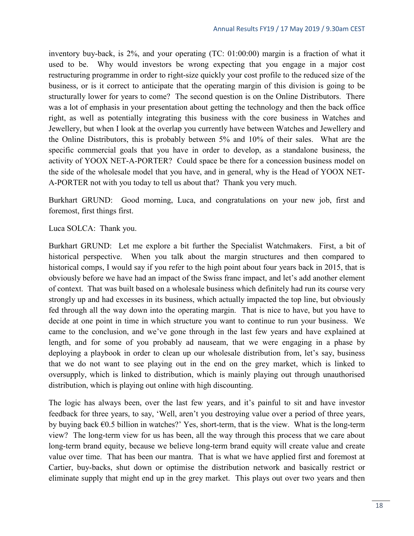inventory buy-back, is 2%, and your operating (TC: 01:00:00) margin is a fraction of what it used to be. Why would investors be wrong expecting that you engage in a major cost restructuring programme in order to right-size quickly your cost profile to the reduced size of the business, or is it correct to anticipate that the operating margin of this division is going to be structurally lower for years to come? The second question is on the Online Distributors. There was a lot of emphasis in your presentation about getting the technology and then the back office right, as well as potentially integrating this business with the core business in Watches and Jewellery, but when I look at the overlap you currently have between Watches and Jewellery and the Online Distributors, this is probably between 5% and 10% of their sales. What are the specific commercial goals that you have in order to develop, as a standalone business, the activity of YOOX NET-A-PORTER? Could space be there for a concession business model on the side of the wholesale model that you have, and in general, why is the Head of YOOX NET-A-PORTER not with you today to tell us about that? Thank you very much.

Burkhart GRUND: Good morning, Luca, and congratulations on your new job, first and foremost, first things first.

Luca SOLCA: Thank you.

Burkhart GRUND: Let me explore a bit further the Specialist Watchmakers. First, a bit of historical perspective. When you talk about the margin structures and then compared to historical comps, I would say if you refer to the high point about four years back in 2015, that is obviously before we have had an impact of the Swiss franc impact, and let's add another element of context. That was built based on a wholesale business which definitely had run its course very strongly up and had excesses in its business, which actually impacted the top line, but obviously fed through all the way down into the operating margin. That is nice to have, but you have to decide at one point in time in which structure you want to continue to run your business. We came to the conclusion, and we've gone through in the last few years and have explained at length, and for some of you probably ad nauseam, that we were engaging in a phase by deploying a playbook in order to clean up our wholesale distribution from, let's say, business that we do not want to see playing out in the end on the grey market, which is linked to oversupply, which is linked to distribution, which is mainly playing out through unauthorised distribution, which is playing out online with high discounting.

The logic has always been, over the last few years, and it's painful to sit and have investor feedback for three years, to say, 'Well, aren't you destroying value over a period of three years, by buying back €0.5 billion in watches?' Yes, short-term, that is the view. What is the long-term view? The long-term view for us has been, all the way through this process that we care about long-term brand equity, because we believe long-term brand equity will create value and create value over time. That has been our mantra. That is what we have applied first and foremost at Cartier, buy-backs, shut down or optimise the distribution network and basically restrict or eliminate supply that might end up in the grey market. This plays out over two years and then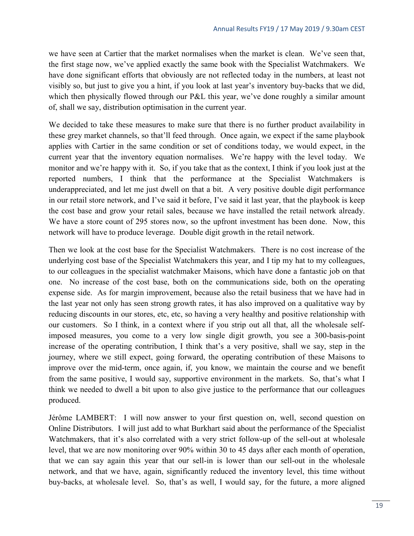we have seen at Cartier that the market normalises when the market is clean. We've seen that, the first stage now, we've applied exactly the same book with the Specialist Watchmakers. We have done significant efforts that obviously are not reflected today in the numbers, at least not visibly so, but just to give you a hint, if you look at last year's inventory buy-backs that we did, which then physically flowed through our P&L this year, we've done roughly a similar amount of, shall we say, distribution optimisation in the current year.

We decided to take these measures to make sure that there is no further product availability in these grey market channels, so that'll feed through. Once again, we expect if the same playbook applies with Cartier in the same condition or set of conditions today, we would expect, in the current year that the inventory equation normalises. We're happy with the level today. We monitor and we're happy with it. So, if you take that as the context, I think if you look just at the reported numbers, I think that the performance at the Specialist Watchmakers is underappreciated, and let me just dwell on that a bit. A very positive double digit performance in our retail store network, and I've said it before, I've said it last year, that the playbook is keep the cost base and grow your retail sales, because we have installed the retail network already. We have a store count of 295 stores now, so the upfront investment has been done. Now, this network will have to produce leverage. Double digit growth in the retail network.

Then we look at the cost base for the Specialist Watchmakers. There is no cost increase of the underlying cost base of the Specialist Watchmakers this year, and I tip my hat to my colleagues, to our colleagues in the specialist watchmaker Maisons, which have done a fantastic job on that one. No increase of the cost base, both on the communications side, both on the operating expense side. As for margin improvement, because also the retail business that we have had in the last year not only has seen strong growth rates, it has also improved on a qualitative way by reducing discounts in our stores, etc, etc, so having a very healthy and positive relationship with our customers. So I think, in a context where if you strip out all that, all the wholesale selfimposed measures, you come to a very low single digit growth, you see a 300-basis-point increase of the operating contribution, I think that's a very positive, shall we say, step in the journey, where we still expect, going forward, the operating contribution of these Maisons to improve over the mid-term, once again, if, you know, we maintain the course and we benefit from the same positive, I would say, supportive environment in the markets. So, that's what I think we needed to dwell a bit upon to also give justice to the performance that our colleagues produced.

Jérôme LAMBERT: I will now answer to your first question on, well, second question on Online Distributors. I will just add to what Burkhart said about the performance of the Specialist Watchmakers, that it's also correlated with a very strict follow-up of the sell-out at wholesale level, that we are now monitoring over 90% within 30 to 45 days after each month of operation, that we can say again this year that our sell-in is lower than our sell-out in the wholesale network, and that we have, again, significantly reduced the inventory level, this time without buy-backs, at wholesale level. So, that's as well, I would say, for the future, a more aligned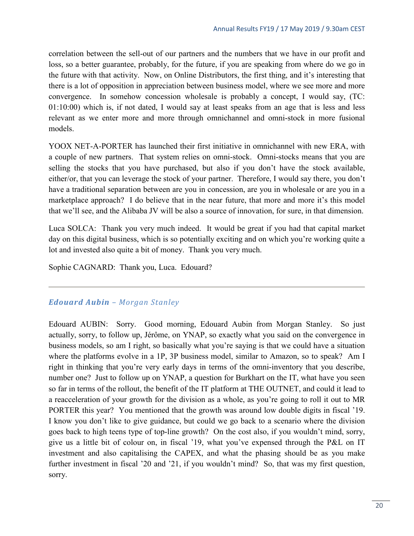correlation between the sell-out of our partners and the numbers that we have in our profit and loss, so a better guarantee, probably, for the future, if you are speaking from where do we go in the future with that activity. Now, on Online Distributors, the first thing, and it's interesting that there is a lot of opposition in appreciation between business model, where we see more and more convergence. In somehow concession wholesale is probably a concept, I would say, (TC: 01:10:00) which is, if not dated, I would say at least speaks from an age that is less and less relevant as we enter more and more through omnichannel and omni-stock in more fusional models.

YOOX NET-A-PORTER has launched their first initiative in omnichannel with new ERA, with a couple of new partners. That system relies on omni-stock. Omni-stocks means that you are selling the stocks that you have purchased, but also if you don't have the stock available, either/or, that you can leverage the stock of your partner. Therefore, I would say there, you don't have a traditional separation between are you in concession, are you in wholesale or are you in a marketplace approach? I do believe that in the near future, that more and more it's this model that we'll see, and the Alibaba JV will be also a source of innovation, for sure, in that dimension.

Luca SOLCA: Thank you very much indeed. It would be great if you had that capital market day on this digital business, which is so potentially exciting and on which you're working quite a lot and invested also quite a bit of money. Thank you very much.

Sophie CAGNARD: Thank you, Luca. Edouard?

#### *Edouard Aubin – Morgan Stanley*

Edouard AUBIN: Sorry. Good morning, Edouard Aubin from Morgan Stanley. So just actually, sorry, to follow up, Jérôme, on YNAP, so exactly what you said on the convergence in business models, so am I right, so basically what you're saying is that we could have a situation where the platforms evolve in a 1P, 3P business model, similar to Amazon, so to speak? Am I right in thinking that you're very early days in terms of the omni-inventory that you describe, number one? Just to follow up on YNAP, a question for Burkhart on the IT, what have you seen so far in terms of the rollout, the benefit of the IT platform at THE OUTNET, and could it lead to a reacceleration of your growth for the division as a whole, as you're going to roll it out to MR PORTER this year? You mentioned that the growth was around low double digits in fiscal '19. I know you don't like to give guidance, but could we go back to a scenario where the division goes back to high teens type of top-line growth? On the cost also, if you wouldn't mind, sorry, give us a little bit of colour on, in fiscal '19, what you've expensed through the P&L on IT investment and also capitalising the CAPEX, and what the phasing should be as you make further investment in fiscal '20 and '21, if you wouldn't mind? So, that was my first question, sorry.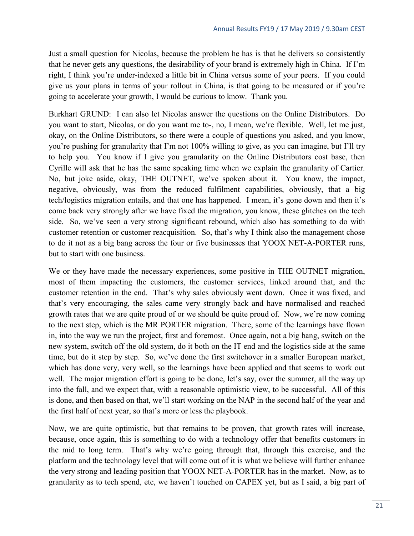Just a small question for Nicolas, because the problem he has is that he delivers so consistently that he never gets any questions, the desirability of your brand is extremely high in China. If I'm right, I think you're under-indexed a little bit in China versus some of your peers. If you could give us your plans in terms of your rollout in China, is that going to be measured or if you're going to accelerate your growth, I would be curious to know. Thank you.

Burkhart GRUND: I can also let Nicolas answer the questions on the Online Distributors. Do you want to start, Nicolas, or do you want me to-, no, I mean, we're flexible. Well, let me just, okay, on the Online Distributors, so there were a couple of questions you asked, and you know, you're pushing for granularity that I'm not 100% willing to give, as you can imagine, but I'll try to help you. You know if I give you granularity on the Online Distributors cost base, then Cyrille will ask that he has the same speaking time when we explain the granularity of Cartier. No, but joke aside, okay, THE OUTNET, we've spoken about it. You know, the impact, negative, obviously, was from the reduced fulfilment capabilities, obviously, that a big tech/logistics migration entails, and that one has happened. I mean, it's gone down and then it's come back very strongly after we have fixed the migration, you know, these glitches on the tech side. So, we've seen a very strong significant rebound, which also has something to do with customer retention or customer reacquisition. So, that's why I think also the management chose to do it not as a big bang across the four or five businesses that YOOX NET-A-PORTER runs, but to start with one business.

We or they have made the necessary experiences, some positive in THE OUTNET migration, most of them impacting the customers, the customer services, linked around that, and the customer retention in the end. That's why sales obviously went down. Once it was fixed, and that's very encouraging, the sales came very strongly back and have normalised and reached growth rates that we are quite proud of or we should be quite proud of. Now, we're now coming to the next step, which is the MR PORTER migration. There, some of the learnings have flown in, into the way we run the project, first and foremost. Once again, not a big bang, switch on the new system, switch off the old system, do it both on the IT end and the logistics side at the same time, but do it step by step. So, we've done the first switchover in a smaller European market, which has done very, very well, so the learnings have been applied and that seems to work out well. The major migration effort is going to be done, let's say, over the summer, all the way up into the fall, and we expect that, with a reasonable optimistic view, to be successful. All of this is done, and then based on that, we'll start working on the NAP in the second half of the year and the first half of next year, so that's more or less the playbook.

Now, we are quite optimistic, but that remains to be proven, that growth rates will increase, because, once again, this is something to do with a technology offer that benefits customers in the mid to long term. That's why we're going through that, through this exercise, and the platform and the technology level that will come out of it is what we believe will further enhance the very strong and leading position that YOOX NET-A-PORTER has in the market. Now, as to granularity as to tech spend, etc, we haven't touched on CAPEX yet, but as I said, a big part of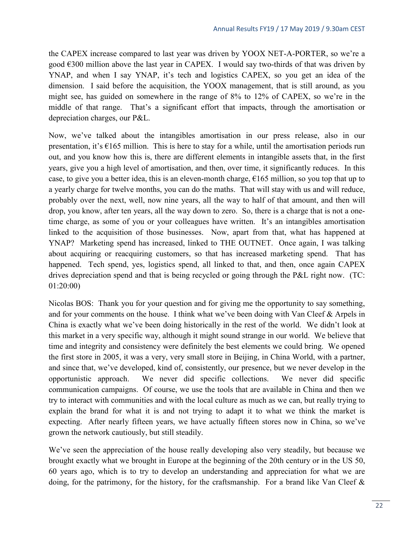the CAPEX increase compared to last year was driven by YOOX NET-A-PORTER, so we're a good  $\epsilon$ 300 million above the last year in CAPEX. I would say two-thirds of that was driven by YNAP, and when I say YNAP, it's tech and logistics CAPEX, so you get an idea of the dimension. I said before the acquisition, the YOOX management, that is still around, as you might see, has guided on somewhere in the range of 8% to 12% of CAPEX, so we're in the middle of that range. That's a significant effort that impacts, through the amortisation or depreciation charges, our P&L.

Now, we've talked about the intangibles amortisation in our press release, also in our presentation, it's  $\epsilon$ 165 million. This is here to stay for a while, until the amortisation periods run out, and you know how this is, there are different elements in intangible assets that, in the first years, give you a high level of amortisation, and then, over time, it significantly reduces. In this case, to give you a better idea, this is an eleven-month charge,  $\epsilon$ 165 million, so you top that up to a yearly charge for twelve months, you can do the maths. That will stay with us and will reduce, probably over the next, well, now nine years, all the way to half of that amount, and then will drop, you know, after ten years, all the way down to zero. So, there is a charge that is not a onetime charge, as some of you or your colleagues have written. It's an intangibles amortisation linked to the acquisition of those businesses. Now, apart from that, what has happened at YNAP? Marketing spend has increased, linked to THE OUTNET. Once again, I was talking about acquiring or reacquiring customers, so that has increased marketing spend. That has happened. Tech spend, yes, logistics spend, all linked to that, and then, once again CAPEX drives depreciation spend and that is being recycled or going through the P&L right now. (TC: 01:20:00)

Nicolas BOS: Thank you for your question and for giving me the opportunity to say something, and for your comments on the house. I think what we've been doing with Van Cleef & Arpels in China is exactly what we've been doing historically in the rest of the world. We didn't look at this market in a very specific way, although it might sound strange in our world. We believe that time and integrity and consistency were definitely the best elements we could bring. We opened the first store in 2005, it was a very, very small store in Beijing, in China World, with a partner, and since that, we've developed, kind of, consistently, our presence, but we never develop in the opportunistic approach. We never did specific collections. We never did specific communication campaigns. Of course, we use the tools that are available in China and then we try to interact with communities and with the local culture as much as we can, but really trying to explain the brand for what it is and not trying to adapt it to what we think the market is expecting. After nearly fifteen years, we have actually fifteen stores now in China, so we've grown the network cautiously, but still steadily.

We've seen the appreciation of the house really developing also very steadily, but because we brought exactly what we brought in Europe at the beginning of the 20th century or in the US 50, 60 years ago, which is to try to develop an understanding and appreciation for what we are doing, for the patrimony, for the history, for the craftsmanship. For a brand like Van Cleef &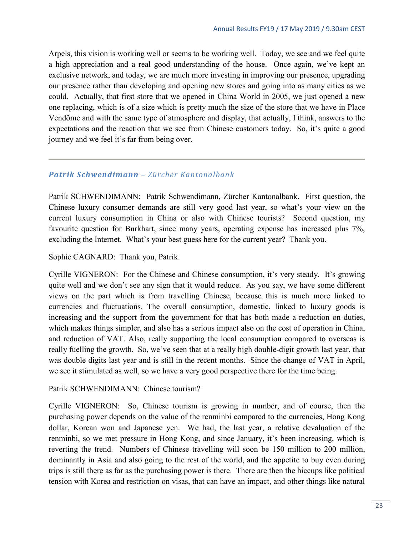Arpels, this vision is working well or seems to be working well. Today, we see and we feel quite a high appreciation and a real good understanding of the house. Once again, we've kept an exclusive network, and today, we are much more investing in improving our presence, upgrading our presence rather than developing and opening new stores and going into as many cities as we could. Actually, that first store that we opened in China World in 2005, we just opened a new one replacing, which is of a size which is pretty much the size of the store that we have in Place Vendôme and with the same type of atmosphere and display, that actually, I think, answers to the expectations and the reaction that we see from Chinese customers today. So, it's quite a good journey and we feel it's far from being over.

### *Patrik Schwendimann – Zürcher Kantonalbank*

Patrik SCHWENDIMANN: Patrik Schwendimann, Zürcher Kantonalbank. First question, the Chinese luxury consumer demands are still very good last year, so what's your view on the current luxury consumption in China or also with Chinese tourists? Second question, my favourite question for Burkhart, since many years, operating expense has increased plus 7%, excluding the Internet. What's your best guess here for the current year? Thank you.

Sophie CAGNARD: Thank you, Patrik.

Cyrille VIGNERON: For the Chinese and Chinese consumption, it's very steady. It's growing quite well and we don't see any sign that it would reduce. As you say, we have some different views on the part which is from travelling Chinese, because this is much more linked to currencies and fluctuations. The overall consumption, domestic, linked to luxury goods is increasing and the support from the government for that has both made a reduction on duties, which makes things simpler, and also has a serious impact also on the cost of operation in China, and reduction of VAT. Also, really supporting the local consumption compared to overseas is really fuelling the growth. So, we've seen that at a really high double-digit growth last year, that was double digits last year and is still in the recent months. Since the change of VAT in April, we see it stimulated as well, so we have a very good perspective there for the time being.

Patrik SCHWENDIMANN: Chinese tourism?

Cyrille VIGNERON: So, Chinese tourism is growing in number, and of course, then the purchasing power depends on the value of the renminbi compared to the currencies, Hong Kong dollar, Korean won and Japanese yen. We had, the last year, a relative devaluation of the renminbi, so we met pressure in Hong Kong, and since January, it's been increasing, which is reverting the trend. Numbers of Chinese travelling will soon be 150 million to 200 million, dominantly in Asia and also going to the rest of the world, and the appetite to buy even during trips is still there as far as the purchasing power is there. There are then the hiccups like political tension with Korea and restriction on visas, that can have an impact, and other things like natural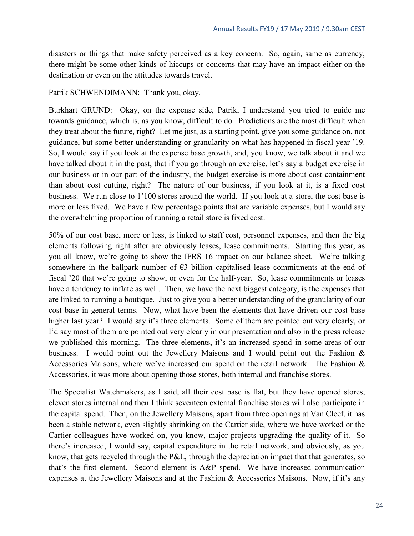disasters or things that make safety perceived as a key concern. So, again, same as currency, there might be some other kinds of hiccups or concerns that may have an impact either on the destination or even on the attitudes towards travel.

Patrik SCHWENDIMANN: Thank you, okay.

Burkhart GRUND: Okay, on the expense side, Patrik, I understand you tried to guide me towards guidance, which is, as you know, difficult to do. Predictions are the most difficult when they treat about the future, right? Let me just, as a starting point, give you some guidance on, not guidance, but some better understanding or granularity on what has happened in fiscal year '19. So, I would say if you look at the expense base growth, and, you know, we talk about it and we have talked about it in the past, that if you go through an exercise, let's say a budget exercise in our business or in our part of the industry, the budget exercise is more about cost containment than about cost cutting, right? The nature of our business, if you look at it, is a fixed cost business. We run close to 1'100 stores around the world. If you look at a store, the cost base is more or less fixed. We have a few percentage points that are variable expenses, but I would say the overwhelming proportion of running a retail store is fixed cost.

50% of our cost base, more or less, is linked to staff cost, personnel expenses, and then the big elements following right after are obviously leases, lease commitments. Starting this year, as you all know, we're going to show the IFRS 16 impact on our balance sheet. We're talking somewhere in the ballpark number of  $\epsilon$ 3 billion capitalised lease commitments at the end of fiscal '20 that we're going to show, or even for the half-year. So, lease commitments or leases have a tendency to inflate as well. Then, we have the next biggest category, is the expenses that are linked to running a boutique. Just to give you a better understanding of the granularity of our cost base in general terms. Now, what have been the elements that have driven our cost base higher last year? I would say it's three elements. Some of them are pointed out very clearly, or I'd say most of them are pointed out very clearly in our presentation and also in the press release we published this morning. The three elements, it's an increased spend in some areas of our business. I would point out the Jewellery Maisons and I would point out the Fashion & Accessories Maisons, where we've increased our spend on the retail network. The Fashion & Accessories, it was more about opening those stores, both internal and franchise stores.

The Specialist Watchmakers, as I said, all their cost base is flat, but they have opened stores, eleven stores internal and then I think seventeen external franchise stores will also participate in the capital spend. Then, on the Jewellery Maisons, apart from three openings at Van Cleef, it has been a stable network, even slightly shrinking on the Cartier side, where we have worked or the Cartier colleagues have worked on, you know, major projects upgrading the quality of it. So there's increased, I would say, capital expenditure in the retail network, and obviously, as you know, that gets recycled through the P&L, through the depreciation impact that that generates, so that's the first element. Second element is A&P spend. We have increased communication expenses at the Jewellery Maisons and at the Fashion & Accessories Maisons. Now, if it's any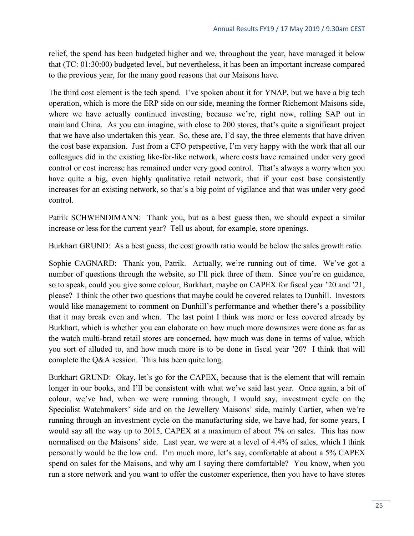relief, the spend has been budgeted higher and we, throughout the year, have managed it below that (TC: 01:30:00) budgeted level, but nevertheless, it has been an important increase compared to the previous year, for the many good reasons that our Maisons have.

The third cost element is the tech spend. I've spoken about it for YNAP, but we have a big tech operation, which is more the ERP side on our side, meaning the former Richemont Maisons side, where we have actually continued investing, because we're, right now, rolling SAP out in mainland China. As you can imagine, with close to 200 stores, that's quite a significant project that we have also undertaken this year. So, these are, I'd say, the three elements that have driven the cost base expansion. Just from a CFO perspective, I'm very happy with the work that all our colleagues did in the existing like-for-like network, where costs have remained under very good control or cost increase has remained under very good control. That's always a worry when you have quite a big, even highly qualitative retail network, that if your cost base consistently increases for an existing network, so that's a big point of vigilance and that was under very good control.

Patrik SCHWENDIMANN: Thank you, but as a best guess then, we should expect a similar increase or less for the current year? Tell us about, for example, store openings.

Burkhart GRUND: As a best guess, the cost growth ratio would be below the sales growth ratio.

Sophie CAGNARD: Thank you, Patrik. Actually, we're running out of time. We've got a number of questions through the website, so I'll pick three of them. Since you're on guidance, so to speak, could you give some colour, Burkhart, maybe on CAPEX for fiscal year '20 and '21, please? I think the other two questions that maybe could be covered relates to Dunhill. Investors would like management to comment on Dunhill's performance and whether there's a possibility that it may break even and when. The last point I think was more or less covered already by Burkhart, which is whether you can elaborate on how much more downsizes were done as far as the watch multi-brand retail stores are concerned, how much was done in terms of value, which you sort of alluded to, and how much more is to be done in fiscal year '20? I think that will complete the Q&A session. This has been quite long.

Burkhart GRUND: Okay, let's go for the CAPEX, because that is the element that will remain longer in our books, and I'll be consistent with what we've said last year. Once again, a bit of colour, we've had, when we were running through, I would say, investment cycle on the Specialist Watchmakers' side and on the Jewellery Maisons' side, mainly Cartier, when we're running through an investment cycle on the manufacturing side, we have had, for some years, I would say all the way up to 2015, CAPEX at a maximum of about 7% on sales. This has now normalised on the Maisons' side. Last year, we were at a level of 4.4% of sales, which I think personally would be the low end. I'm much more, let's say, comfortable at about a 5% CAPEX spend on sales for the Maisons, and why am I saying there comfortable? You know, when you run a store network and you want to offer the customer experience, then you have to have stores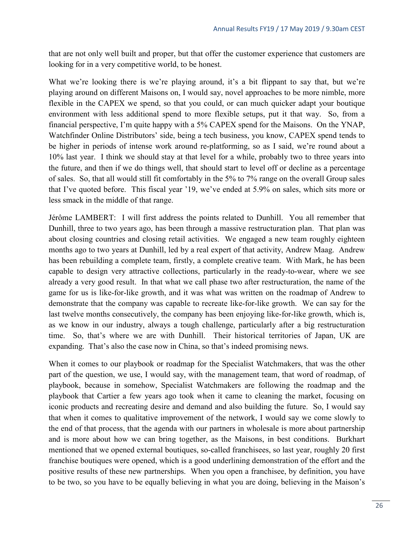that are not only well built and proper, but that offer the customer experience that customers are looking for in a very competitive world, to be honest.

What we're looking there is we're playing around, it's a bit flippant to say that, but we're playing around on different Maisons on, I would say, novel approaches to be more nimble, more flexible in the CAPEX we spend, so that you could, or can much quicker adapt your boutique environment with less additional spend to more flexible setups, put it that way. So, from a financial perspective, I'm quite happy with a 5% CAPEX spend for the Maisons. On the YNAP, Watchfinder Online Distributors' side, being a tech business, you know, CAPEX spend tends to be higher in periods of intense work around re-platforming, so as I said, we're round about a 10% last year. I think we should stay at that level for a while, probably two to three years into the future, and then if we do things well, that should start to level off or decline as a percentage of sales. So, that all would still fit comfortably in the 5% to 7% range on the overall Group sales that I've quoted before. This fiscal year '19, we've ended at 5.9% on sales, which sits more or less smack in the middle of that range.

Jérôme LAMBERT: I will first address the points related to Dunhill. You all remember that Dunhill, three to two years ago, has been through a massive restructuration plan. That plan was about closing countries and closing retail activities. We engaged a new team roughly eighteen months ago to two years at Dunhill, led by a real expert of that activity, Andrew Maag. Andrew has been rebuilding a complete team, firstly, a complete creative team. With Mark, he has been capable to design very attractive collections, particularly in the ready-to-wear, where we see already a very good result. In that what we call phase two after restructuration, the name of the game for us is like-for-like growth, and it was what was written on the roadmap of Andrew to demonstrate that the company was capable to recreate like-for-like growth. We can say for the last twelve months consecutively, the company has been enjoying like-for-like growth, which is, as we know in our industry, always a tough challenge, particularly after a big restructuration time. So, that's where we are with Dunhill. Their historical territories of Japan, UK are expanding. That's also the case now in China, so that's indeed promising news.

When it comes to our playbook or roadmap for the Specialist Watchmakers, that was the other part of the question, we use, I would say, with the management team, that word of roadmap, of playbook, because in somehow, Specialist Watchmakers are following the roadmap and the playbook that Cartier a few years ago took when it came to cleaning the market, focusing on iconic products and recreating desire and demand and also building the future. So, I would say that when it comes to qualitative improvement of the network, I would say we come slowly to the end of that process, that the agenda with our partners in wholesale is more about partnership and is more about how we can bring together, as the Maisons, in best conditions. Burkhart mentioned that we opened external boutiques, so-called franchisees, so last year, roughly 20 first franchise boutiques were opened, which is a good underlining demonstration of the effort and the positive results of these new partnerships. When you open a franchisee, by definition, you have to be two, so you have to be equally believing in what you are doing, believing in the Maison's